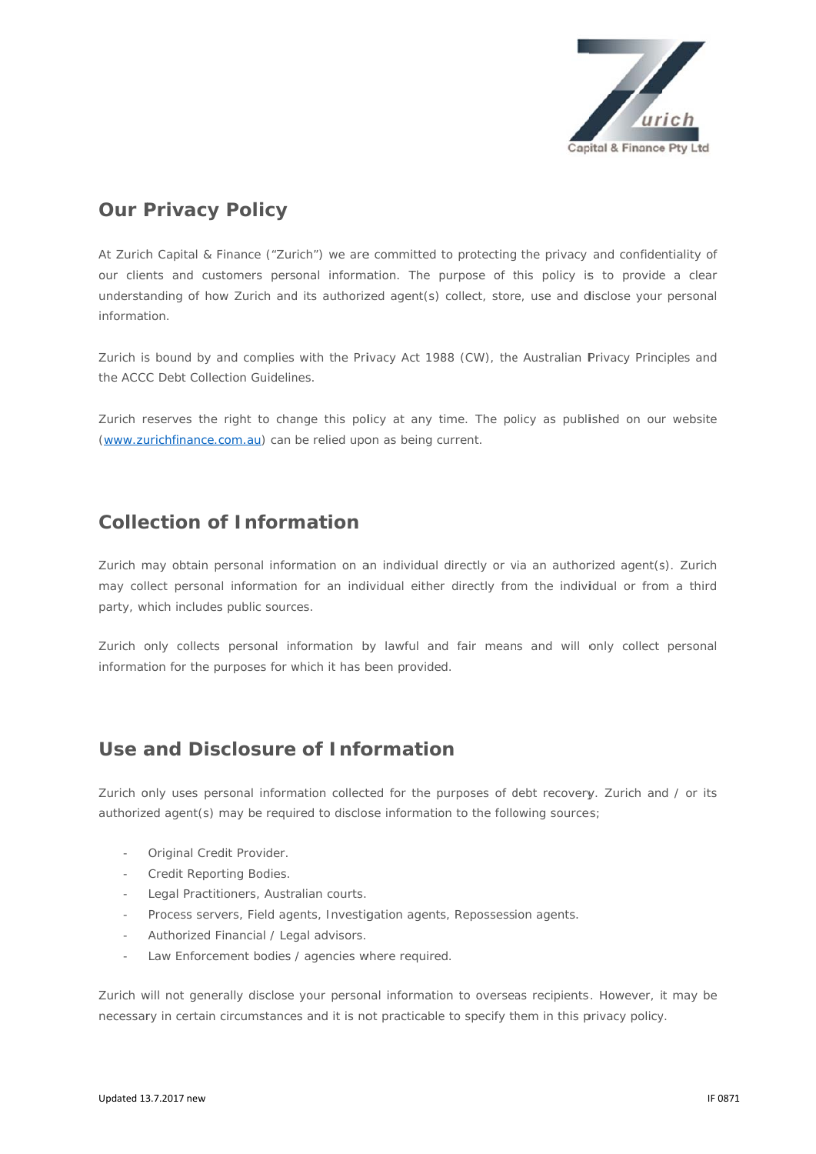

# **Our P Privacy Policy**

At Zurich Capital & Finance ("Zurich") we are committed to protecting the privacy and confidentiality of our clients and customers personal information. The purpose of this policy is to provide a clear understanding of how Zurich and its authorized agent(s) collect, store, use and disclose your personal information.

Zurich is bound by and complies with the Privacy Act 1988 (CW), the Australian Privacy Principles and the ACCC Debt Collection Guidelines.

Zurich reserves the right to change this policy at any time. The policy as published on our website (www.zurichfinance.com.au) can be relied upon as being current.

#### **Collection of Information**

Zurich may obtain personal information on an individual directly or via an authorized agent(s). Zurich may collect personal information for an individual either directly from the individual or from a third party, which includes public sources.

Zurich only collects personal information by lawful and fair means and will only collect personal information for the purposes for which it has been provided.

#### Use and Disclosure of Information

Zurich only uses personal information collected for the purposes of debt recovery. Zurich and / or its authorized agent(s) may be required to disclose information to the following sources;

- Original Credit Provider.
- Credit Reporting Bodies.
- Legal Practitioners, Australian courts.
- Process servers, Field agents, Investigation agents, Repossession agents.
- Authorized Financial / Legal advisors.
- Law Enforcement bodies / agencies where required.

Zurich will not generally disclose your personal information to overseas recipients. However, it may be necessary in certain circumstances and it is not practicable to specify them in this privacy policy.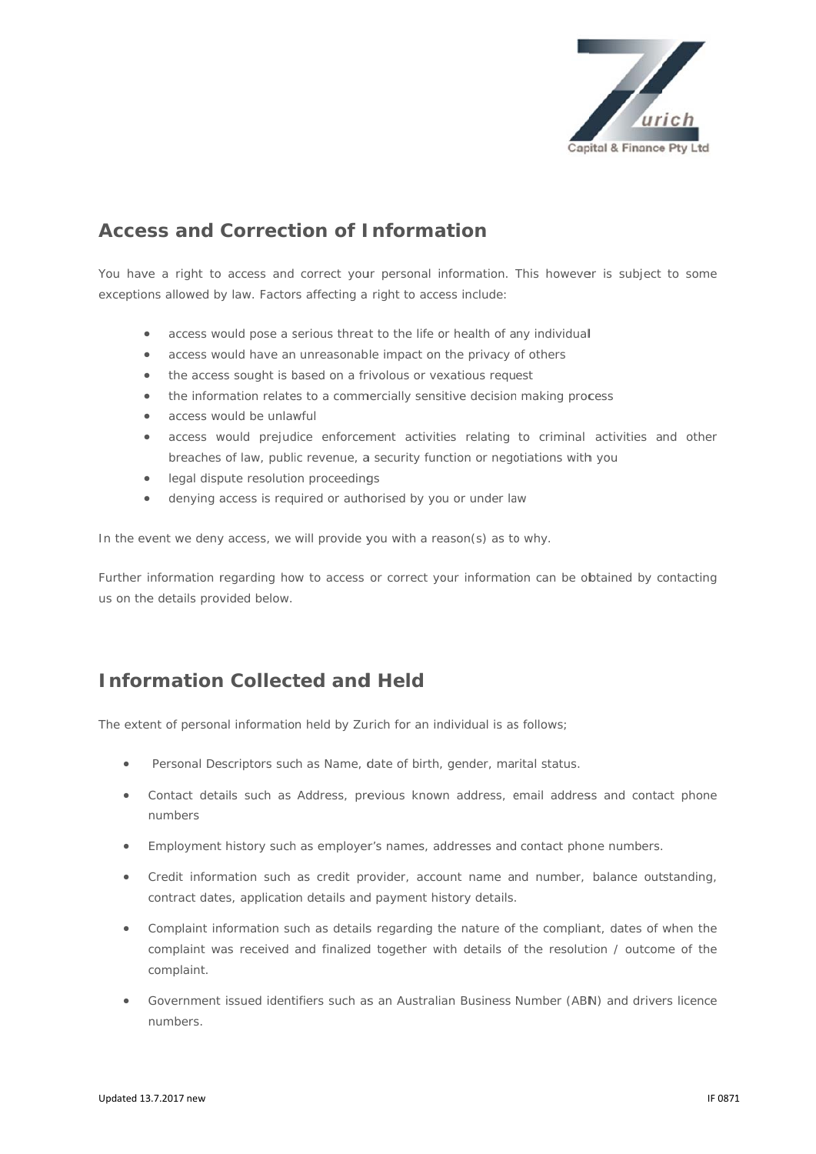

# **Access and Correction of Information**

You have a right to access and correct your personal information. This however is subject to some exceptions allowed by law. Factors affecting a right to access include:

- access would pose a serious threat to the life or health of any individual  $\bullet$
- access would have an unreasonable impact on the privacy of others  $\bullet$
- the access sought is based on a frivolous or vexatious request  $\bullet$
- the information relates to a commercially sensitive decision making process  $\bullet$
- access would be unlawful  $\bullet$
- access would prejudice enforcement activities relating to criminal activities and other breaches of law, public revenue, a security function or negotiations with you
- legal dispute resolution proceedings
- denying access is required or authorised by you or under law  $\blacksquare$

In the event we deny access, we will provide you with a reason(s) as to why.

Further information regarding how to access or correct your information can be obtained by contacting us on the details provided below.

## **Information Collected and Held**

The extent of personal information held by Zurich for an individual is as follows;

- Personal Descriptors such as Name, date of birth, gender, marital status.
- Contact details such as Address, previous known address, email address and contact phone numbers
- Employment history such as employer's names, addresses and contact phone numbers.  $\bullet$
- Credit information such as credit provider, account name and number, balance outstanding, contract dates, application details and payment history details.
- Complaint information such as details regarding the nature of the compliant, dates of when the  $\bullet$ complaint was received and finalized together with details of the resolution / outcome of the complaint.
- Government issued identifiers such as an Australian Business Number (ABN) and drivers licence numhers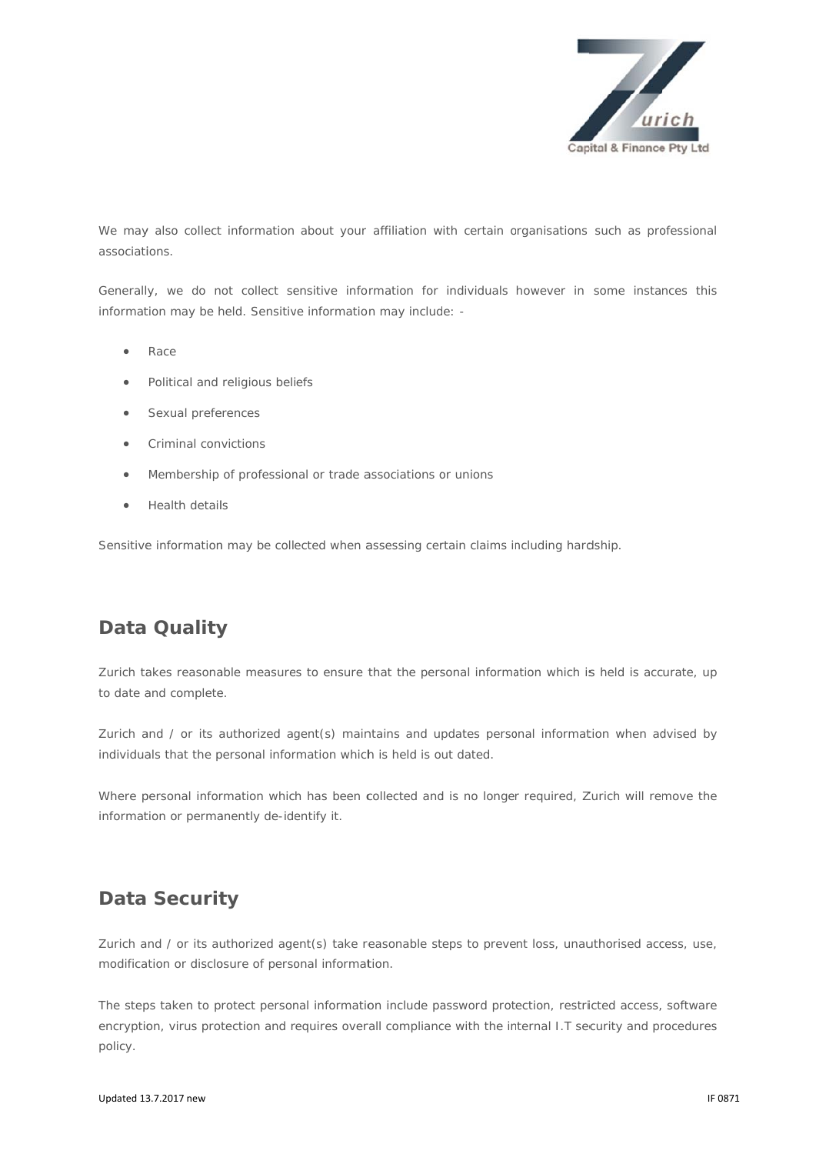

We may also collect information about your affiliation with certain organisations such as professional associations

Generally, we do not collect sensitive information for individuals however in some instances this information may be held. Sensitive information may include: -

- Race
- Political and religious beliefs  $\bullet$
- Sexual preferences  $\bullet$
- **Criminal convictions**  $\bullet$
- Membership of professional or trade associations or unions  $\bullet$
- Health details  $\bullet$

Sensitive information may be collected when assessing certain claims including hardship.

# **Data Quality**

Zurich takes reasonable measures to ensure that the personal information which is held is accurate, up to date and complete.

Zurich and / or its authorized agent(s) maintains and updates personal information when advised by individuals that the personal information which is held is out dated.

Where personal information which has been collected and is no longer required, Zurich will remove the information or permanently de-identify it.

#### **Data Security**

Zurich and / or its authorized agent(s) take reasonable steps to prevent loss, unauthorised access, use, modification or disclosure of personal information.

The steps taken to protect personal information include password protection, restricted access, software encryption, virus protection and requires overall compliance with the internal I.T security and procedures policy.